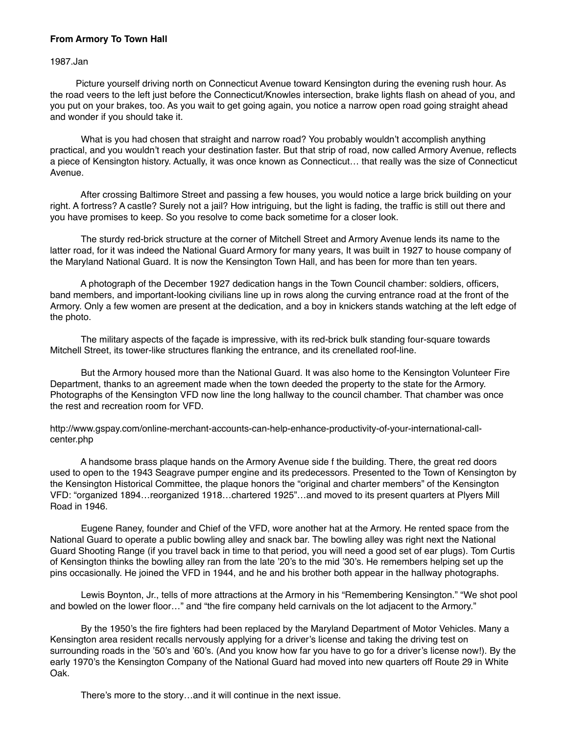## **From Armory To Town Hall**

1987.Jan

 Picture yourself driving north on Connecticut Avenue toward Kensington during the evening rush hour. As the road veers to the left just before the Connecticut/Knowles intersection, brake lights flash on ahead of you, and you put on your brakes, too. As you wait to get going again, you notice a narrow open road going straight ahead and wonder if you should take it.

 What is you had chosen that straight and narrow road? You probably wouldn't accomplish anything practical, and you wouldn't reach your destination faster. But that strip of road, now called Armory Avenue, reflects a piece of Kensington history. Actually, it was once known as Connecticut… that really was the size of Connecticut Avenue.

 After crossing Baltimore Street and passing a few houses, you would notice a large brick building on your right. A fortress? A castle? Surely not a jail? How intriguing, but the light is fading, the traffic is still out there and you have promises to keep. So you resolve to come back sometime for a closer look.

 The sturdy red-brick structure at the corner of Mitchell Street and Armory Avenue lends its name to the latter road, for it was indeed the National Guard Armory for many years, It was built in 1927 to house company of the Maryland National Guard. It is now the Kensington Town Hall, and has been for more than ten years.

 A photograph of the December 1927 dedication hangs in the Town Council chamber: soldiers, officers, band members, and important-looking civilians line up in rows along the curving entrance road at the front of the Armory. Only a few women are present at the dedication, and a boy in knickers stands watching at the left edge of the photo.

 The military aspects of the façade is impressive, with its red-brick bulk standing four-square towards Mitchell Street, its tower-like structures flanking the entrance, and its crenellated roof-line.

 But the Armory housed more than the National Guard. It was also home to the Kensington Volunteer Fire Department, thanks to an agreement made when the town deeded the property to the state for the Armory. Photographs of the Kensington VFD now line the long hallway to the council chamber. That chamber was once the rest and recreation room for VFD.

http://www.gspay.com/online-merchant-accounts-can-help-enhance-productivity-of-your-international-callcenter.php

 A handsome brass plaque hands on the Armory Avenue side f the building. There, the great red doors used to open to the 1943 Seagrave pumper engine and its predecessors. Presented to the Town of Kensington by the Kensington Historical Committee, the plaque honors the "original and charter members" of the Kensington VFD: "organized 1894…reorganized 1918…chartered 1925"…and moved to its present quarters at Plyers Mill Road in 1946.

 Eugene Raney, founder and Chief of the VFD, wore another hat at the Armory. He rented space from the National Guard to operate a public bowling alley and snack bar. The bowling alley was right next the National Guard Shooting Range (if you travel back in time to that period, you will need a good set of ear plugs). Tom Curtis of Kensington thinks the bowling alley ran from the late '20's to the mid '30's. He remembers helping set up the pins occasionally. He joined the VFD in 1944, and he and his brother both appear in the hallway photographs.

 Lewis Boynton, Jr., tells of more attractions at the Armory in his "Remembering Kensington." "We shot pool and bowled on the lower floor…" and "the fire company held carnivals on the lot adjacent to the Armory."

 By the 1950's the fire fighters had been replaced by the Maryland Department of Motor Vehicles. Many a Kensington area resident recalls nervously applying for a driver's license and taking the driving test on surrounding roads in the '50's and '60's. (And you know how far you have to go for a driver's license now!). By the early 1970's the Kensington Company of the National Guard had moved into new quarters off Route 29 in White Oak.

There's more to the story…and it will continue in the next issue.